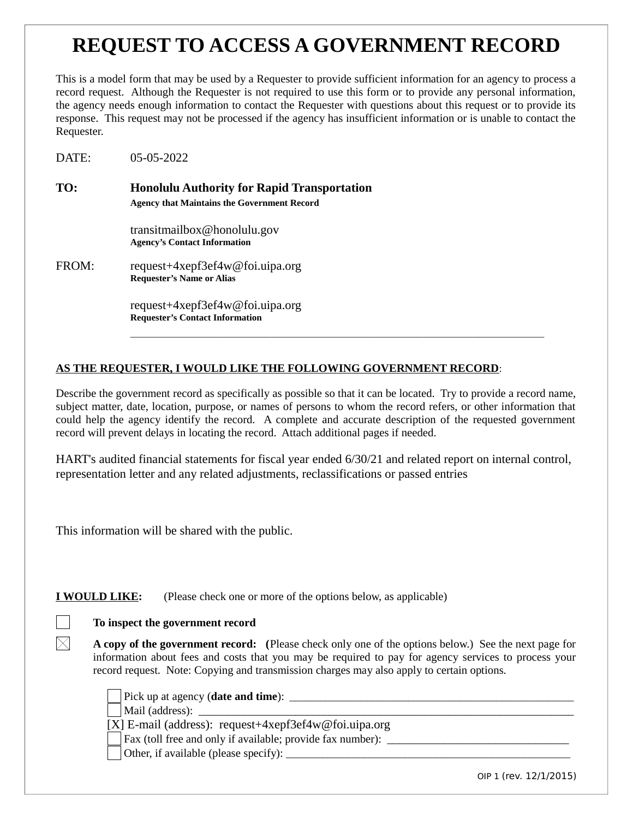# **REQUEST TO ACCESS A GOVERNMENT RECORD**

This is a model form that may be used by a Requester to provide sufficient information for an agency to process a record request. Although the Requester is not required to use this form or to provide any personal information, the agency needs enough information to contact the Requester with questions about this request or to provide its response. This request may not be processed if the agency has insufficient information or is unable to contact the Requester.

DATE: 05-05-2022

**TO: Honolulu Authority for Rapid Transportation Agency that Maintains the Government Record**

> transitmailbox@honolulu.gov **Agency's Contact Information**

FROM: request+4xepf3ef4w@foi.uipa.org **Requester's Name or Alias** 

> request+4xepf3ef4w@foi.uipa.org **Requester's Contact Information**

# **AS THE REQUESTER, I WOULD LIKE THE FOLLOWING GOVERNMENT RECORD**:

Describe the government record as specifically as possible so that it can be located. Try to provide a record name, subject matter, date, location, purpose, or names of persons to whom the record refers, or other information that could help the agency identify the record. A complete and accurate description of the requested government record will prevent delays in locating the record. Attach additional pages if needed.

\_\_\_\_\_\_\_\_\_\_\_\_\_\_\_\_\_\_\_\_\_\_\_\_\_\_\_\_\_\_\_\_\_\_\_\_\_\_\_\_\_\_\_\_\_\_\_\_\_\_\_\_\_\_\_\_\_\_\_\_\_\_\_\_\_\_\_\_\_\_\_\_\_\_\_\_\_\_\_\_\_\_\_\_\_\_\_\_\_

HART's audited financial statements for fiscal year ended 6/30/21 and related report on internal control, representation letter and any related adjustments, reclassifications or passed entries

This information will be shared with the public.

**I WOULD LIKE:** (Please check one or more of the options below, as applicable)

# **To inspect the government record**

**A copy of the government record: (**Please check only one of the options below.) See the next page for information about fees and costs that you may be required to pay for agency services to process your record request. Note: Copying and transmission charges may also apply to certain options.

Pick up at agency (**date and time**): *with the strain and time*  $\overline{\phantom{a}}$  *leader leader leader leader leader leader* **<b>***leader leader leader leader leader leader leader* **<b>***l* 

Mail (address):

[X] E-mail (address): request+4xepf3ef4w@foi.uipa.org

Fax (toll free and only if available; provide fax number): \_\_\_\_\_\_\_\_\_\_\_\_\_\_\_\_\_\_\_\_\_

Other, if available (please specify):

OIP 1 (rev. 12/1/2015)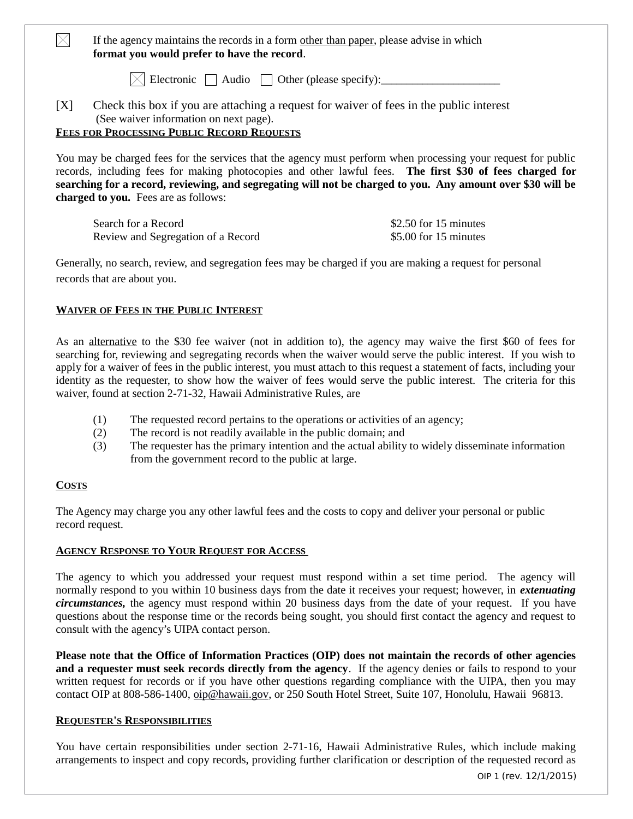If the agency maintains the records in a form other than paper, please advise in which **format you would prefer to have the record**.

 $\boxtimes$  Electronic  $\Box$  Audio  $\Box$  Other (please specify):

[X] Check this box if you are attaching a request for waiver of fees in the public interest (See waiver information on next page).

## **FEES FOR PROCESSING PUBLIC RECORD REQUESTS**

You may be charged fees for the services that the agency must perform when processing your request for public records, including fees for making photocopies and other lawful fees. **The first \$30 of fees charged for searching for a record, reviewing, and segregating will not be charged to you. Any amount over \$30 will be charged to you.** Fees are as follows:

| Search for a Record                | \$2.50 for 15 minutes |
|------------------------------------|-----------------------|
| Review and Segregation of a Record | \$5.00 for 15 minutes |

Generally, no search, review, and segregation fees may be charged if you are making a request for personal records that are about you.

## **WAIVER OF FEES IN THE PUBLIC INTEREST**

As an alternative to the \$30 fee waiver (not in addition to), the agency may waive the first \$60 of fees for searching for, reviewing and segregating records when the waiver would serve the public interest. If you wish to apply for a waiver of fees in the public interest, you must attach to this request a statement of facts, including your identity as the requester, to show how the waiver of fees would serve the public interest. The criteria for this waiver, found at section 2-71-32, Hawaii Administrative Rules, are

- (1) The requested record pertains to the operations or activities of an agency;
- (2) The record is not readily available in the public domain; and
- (3) The requester has the primary intention and the actual ability to widely disseminate information from the government record to the public at large.

### **COSTS**

 $\bowtie$ 

The Agency may charge you any other lawful fees and the costs to copy and deliver your personal or public record request.

### **AGENCY RESPONSE TO YOUR REQUEST FOR ACCESS**

The agency to which you addressed your request must respond within a set time period. The agency will normally respond to you within 10 business days from the date it receives your request; however, in *extenuating circumstances,* the agency must respond within 20 business days from the date of your request. If you have questions about the response time or the records being sought, you should first contact the agency and request to consult with the agency's UIPA contact person.

**Please note that the Office of Information Practices (OIP) does not maintain the records of other agencies and a requester must seek records directly from the agency**. If the agency denies or fails to respond to your written request for records or if you have other questions regarding compliance with the UIPA, then you may contact OIP at 808-586-1400, [oip@hawaii.gov,](mailto:oip@hawaii.gov) or 250 South Hotel Street, Suite 107, Honolulu, Hawaii 96813.

### **REQUESTER'S RESPONSIBILITIES**

You have certain responsibilities under section 2-71-16, Hawaii Administrative Rules, which include making arrangements to inspect and copy records, providing further clarification or description of the requested record as